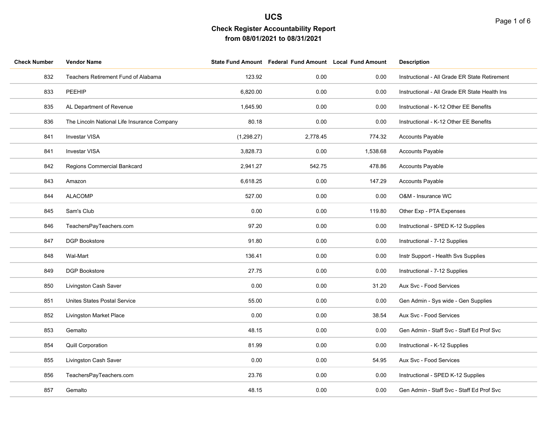| <b>Check Number</b> | <b>Vendor Name</b>                          |            | State Fund Amount Federal Fund Amount Local Fund Amount |          | <b>Description</b>                            |
|---------------------|---------------------------------------------|------------|---------------------------------------------------------|----------|-----------------------------------------------|
| 832                 | Teachers Retirement Fund of Alabama         | 123.92     | 0.00                                                    | 0.00     | Instructional - All Grade ER State Retirement |
| 833                 | PEEHIP                                      | 6,820.00   | 0.00                                                    | 0.00     | Instructional - All Grade ER State Health Ins |
| 835                 | AL Department of Revenue                    | 1,645.90   | 0.00                                                    | 0.00     | Instructional - K-12 Other EE Benefits        |
| 836                 | The Lincoln National Life Insurance Company | 80.18      | 0.00                                                    | 0.00     | Instructional - K-12 Other EE Benefits        |
| 841                 | <b>Investar VISA</b>                        | (1,298.27) | 2,778.45                                                | 774.32   | Accounts Payable                              |
| 841                 | <b>Investar VISA</b>                        | 3,828.73   | 0.00                                                    | 1,538.68 | <b>Accounts Payable</b>                       |
| 842                 | Regions Commercial Bankcard                 | 2,941.27   | 542.75                                                  | 478.86   | <b>Accounts Payable</b>                       |
| 843                 | Amazon                                      | 6,618.25   | 0.00                                                    | 147.29   | <b>Accounts Payable</b>                       |
| 844                 | <b>ALACOMP</b>                              | 527.00     | 0.00                                                    | 0.00     | O&M - Insurance WC                            |
| 845                 | Sam's Club                                  | 0.00       | 0.00                                                    | 119.80   | Other Exp - PTA Expenses                      |
| 846                 | TeachersPayTeachers.com                     | 97.20      | 0.00                                                    | 0.00     | Instructional - SPED K-12 Supplies            |
| 847                 | <b>DGP Bookstore</b>                        | 91.80      | 0.00                                                    | 0.00     | Instructional - 7-12 Supplies                 |
| 848                 | Wal-Mart                                    | 136.41     | 0.00                                                    | 0.00     | Instr Support - Health Svs Supplies           |
| 849                 | <b>DGP Bookstore</b>                        | 27.75      | 0.00                                                    | 0.00     | Instructional - 7-12 Supplies                 |
| 850                 | Livingston Cash Saver                       | 0.00       | 0.00                                                    | 31.20    | Aux Svc - Food Services                       |
| 851                 | Unites States Postal Service                | 55.00      | 0.00                                                    | 0.00     | Gen Admin - Sys wide - Gen Supplies           |
| 852                 | <b>Livingston Market Place</b>              | 0.00       | 0.00                                                    | 38.54    | Aux Svc - Food Services                       |
| 853                 | Gemalto                                     | 48.15      | 0.00                                                    | 0.00     | Gen Admin - Staff Svc - Staff Ed Prof Svc     |
| 854                 | Quill Corporation                           | 81.99      | 0.00                                                    | 0.00     | Instructional - K-12 Supplies                 |
| 855                 | Livingston Cash Saver                       | 0.00       | 0.00                                                    | 54.95    | Aux Svc - Food Services                       |
| 856                 | TeachersPayTeachers.com                     | 23.76      | 0.00                                                    | 0.00     | Instructional - SPED K-12 Supplies            |
| 857                 | Gemalto                                     | 48.15      | 0.00                                                    | 0.00     | Gen Admin - Staff Svc - Staff Ed Prof Svc     |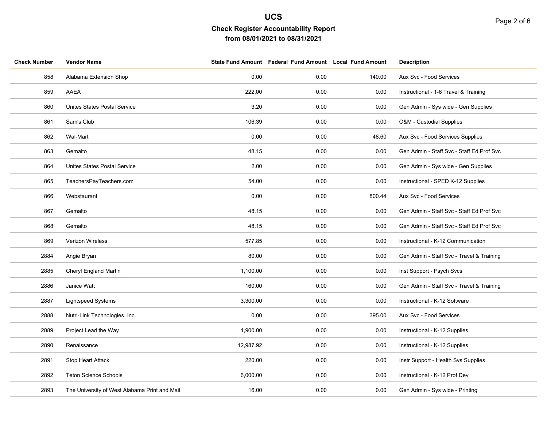| <b>Check Number</b> | <b>Vendor Name</b>                            |           | State Fund Amount Federal Fund Amount Local Fund Amount |        | <b>Description</b>                        |
|---------------------|-----------------------------------------------|-----------|---------------------------------------------------------|--------|-------------------------------------------|
| 858                 | Alabama Extension Shop                        | 0.00      | 0.00                                                    | 140.00 | Aux Svc - Food Services                   |
| 859                 | AAEA                                          | 222.00    | 0.00                                                    | 0.00   | Instructional - 1-6 Travel & Training     |
| 860                 | <b>Unites States Postal Service</b>           | 3.20      | 0.00                                                    | 0.00   | Gen Admin - Sys wide - Gen Supplies       |
| 861                 | Sam's Club                                    | 106.39    | 0.00                                                    | 0.00   | O&M - Custodial Supplies                  |
| 862                 | Wal-Mart                                      | 0.00      | 0.00                                                    | 48.60  | Aux Svc - Food Services Supplies          |
| 863                 | Gemalto                                       | 48.15     | 0.00                                                    | 0.00   | Gen Admin - Staff Svc - Staff Ed Prof Svc |
| 864                 | Unites States Postal Service                  | 2.00      | 0.00                                                    | 0.00   | Gen Admin - Sys wide - Gen Supplies       |
| 865                 | TeachersPayTeachers.com                       | 54.00     | 0.00                                                    | 0.00   | Instructional - SPED K-12 Supplies        |
| 866                 | Webstaurant                                   | 0.00      | 0.00                                                    | 800.44 | Aux Svc - Food Services                   |
| 867                 | Gemalto                                       | 48.15     | 0.00                                                    | 0.00   | Gen Admin - Staff Svc - Staff Ed Prof Svc |
| 868                 | Gemalto                                       | 48.15     | 0.00                                                    | 0.00   | Gen Admin - Staff Svc - Staff Ed Prof Svc |
| 869                 | Verizon Wireless                              | 577.85    | 0.00                                                    | 0.00   | Instructional - K-12 Communication        |
| 2884                | Angie Bryan                                   | 80.00     | 0.00                                                    | 0.00   | Gen Admin - Staff Svc - Travel & Training |
| 2885                | Cheryl England Martin                         | 1,100.00  | 0.00                                                    | 0.00   | Inst Support - Psych Svcs                 |
| 2886                | Janice Watt                                   | 160.00    | 0.00                                                    | 0.00   | Gen Admin - Staff Svc - Travel & Training |
| 2887                | <b>Lightspeed Systems</b>                     | 3,300.00  | 0.00                                                    | 0.00   | Instructional - K-12 Software             |
| 2888                | Nutri-Link Technologies, Inc.                 | 0.00      | 0.00                                                    | 395.00 | Aux Svc - Food Services                   |
| 2889                | Project Lead the Way                          | 1,900.00  | 0.00                                                    | 0.00   | Instructional - K-12 Supplies             |
| 2890                | Renaissance                                   | 12,987.92 | 0.00                                                    | 0.00   | Instructional - K-12 Supplies             |
| 2891                | Stop Heart Attack                             | 220.00    | 0.00                                                    | 0.00   | Instr Support - Health Svs Supplies       |
| 2892                | <b>Teton Science Schools</b>                  | 6,000.00  | 0.00                                                    | 0.00   | Instructional - K-12 Prof Dev             |
| 2893                | The University of West Alabama Print and Mail | 16.00     | 0.00                                                    | 0.00   | Gen Admin - Sys wide - Printing           |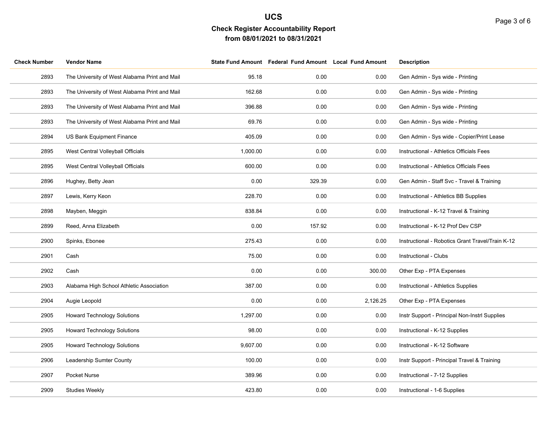| <b>Check Number</b> | <b>Vendor Name</b>                            |          | State Fund Amount Federal Fund Amount Local Fund Amount |          | <b>Description</b>                               |
|---------------------|-----------------------------------------------|----------|---------------------------------------------------------|----------|--------------------------------------------------|
| 2893                | The University of West Alabama Print and Mail | 95.18    | 0.00                                                    | 0.00     | Gen Admin - Sys wide - Printing                  |
| 2893                | The University of West Alabama Print and Mail | 162.68   | 0.00                                                    | 0.00     | Gen Admin - Sys wide - Printing                  |
| 2893                | The University of West Alabama Print and Mail | 396.88   | 0.00                                                    | 0.00     | Gen Admin - Sys wide - Printing                  |
| 2893                | The University of West Alabama Print and Mail | 69.76    | 0.00                                                    | 0.00     | Gen Admin - Sys wide - Printing                  |
| 2894                | US Bank Equipment Finance                     | 405.09   | 0.00                                                    | 0.00     | Gen Admin - Sys wide - Copier/Print Lease        |
| 2895                | West Central Volleyball Officials             | 1,000.00 | 0.00                                                    | 0.00     | Instructional - Athletics Officials Fees         |
| 2895                | West Central Volleyball Officials             | 600.00   | 0.00                                                    | 0.00     | Instructional - Athletics Officials Fees         |
| 2896                | Hughey, Betty Jean                            | 0.00     | 329.39                                                  | 0.00     | Gen Admin - Staff Svc - Travel & Training        |
| 2897                | Lewis, Kerry Keon                             | 228.70   | 0.00                                                    | 0.00     | Instructional - Athletics BB Supplies            |
| 2898                | Mayben, Meggin                                | 838.84   | 0.00                                                    | 0.00     | Instructional - K-12 Travel & Training           |
| 2899                | Reed, Anna Elizabeth                          | 0.00     | 157.92                                                  | 0.00     | Instructional - K-12 Prof Dev CSP                |
| 2900                | Spinks, Ebonee                                | 275.43   | 0.00                                                    | 0.00     | Instructional - Robotics Grant Travel/Train K-12 |
| 2901                | Cash                                          | 75.00    | 0.00                                                    | 0.00     | Instructional - Clubs                            |
| 2902                | Cash                                          | 0.00     | 0.00                                                    | 300.00   | Other Exp - PTA Expenses                         |
| 2903                | Alabama High School Athletic Association      | 387.00   | 0.00                                                    | 0.00     | Instructional - Athletics Supplies               |
| 2904                | Augie Leopold                                 | 0.00     | 0.00                                                    | 2,126.25 | Other Exp - PTA Expenses                         |
| 2905                | <b>Howard Technology Solutions</b>            | 1,297.00 | 0.00                                                    | 0.00     | Instr Support - Principal Non-Instrl Supplies    |
| 2905                | <b>Howard Technology Solutions</b>            | 98.00    | 0.00                                                    | 0.00     | Instructional - K-12 Supplies                    |
| 2905                | <b>Howard Technology Solutions</b>            | 9,607.00 | 0.00                                                    | 0.00     | Instructional - K-12 Software                    |
| 2906                | Leadership Sumter County                      | 100.00   | 0.00                                                    | 0.00     | Instr Support - Principal Travel & Training      |
| 2907                | Pocket Nurse                                  | 389.96   | 0.00                                                    | 0.00     | Instructional - 7-12 Supplies                    |
| 2909                | <b>Studies Weekly</b>                         | 423.80   | 0.00                                                    | 0.00     | Instructional - 1-6 Supplies                     |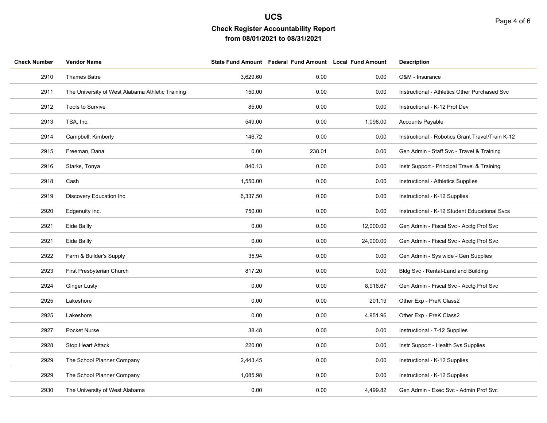| <b>Check Number</b> | <b>Vendor Name</b>                               |          | State Fund Amount Federal Fund Amount Local Fund Amount |           | <b>Description</b>                               |
|---------------------|--------------------------------------------------|----------|---------------------------------------------------------|-----------|--------------------------------------------------|
| 2910                | Thames Batre                                     | 3,629.60 | 0.00                                                    | 0.00      | O&M - Insurance                                  |
| 2911                | The University of West Alabama Athletic Training | 150.00   | 0.00                                                    | 0.00      | Instructional - Athletics Other Purchased Svc    |
| 2912                | Tools to Survive                                 | 85.00    | 0.00                                                    | 0.00      | Instructional - K-12 Prof Dev                    |
| 2913                | TSA, Inc.                                        | 549.00   | 0.00                                                    | 1,098.00  | <b>Accounts Payable</b>                          |
| 2914                | Campbell, Kimberly                               | 146.72   | 0.00                                                    | 0.00      | Instructional - Robotics Grant Travel/Train K-12 |
| 2915                | Freeman, Dana                                    | 0.00     | 238.01                                                  | 0.00      | Gen Admin - Staff Svc - Travel & Training        |
| 2916                | Starks, Tonya                                    | 840.13   | 0.00                                                    | 0.00      | Instr Support - Principal Travel & Training      |
| 2918                | Cash                                             | 1,550.00 | 0.00                                                    | 0.00      | Instructional - Athletics Supplies               |
| 2919                | Discovery Education Inc                          | 6,337.50 | 0.00                                                    | 0.00      | Instructional - K-12 Supplies                    |
| 2920                | Edgenuity Inc.                                   | 750.00   | 0.00                                                    | 0.00      | Instructional - K-12 Student Educational Svcs    |
| 2921                | Eide Bailly                                      | 0.00     | 0.00                                                    | 12,000.00 | Gen Admin - Fiscal Svc - Acctg Prof Svc          |
| 2921                | Eide Bailly                                      | 0.00     | 0.00                                                    | 24,000.00 | Gen Admin - Fiscal Svc - Acctg Prof Svc          |
| 2922                | Farm & Builder's Supply                          | 35.94    | 0.00                                                    | 0.00      | Gen Admin - Sys wide - Gen Supplies              |
| 2923                | First Presbyterian Church                        | 817.20   | 0.00                                                    | 0.00      | Bldg Svc - Rental-Land and Building              |
| 2924                | <b>Ginger Lusty</b>                              | 0.00     | 0.00                                                    | 8,916.67  | Gen Admin - Fiscal Svc - Acctg Prof Svc          |
| 2925                | Lakeshore                                        | 0.00     | 0.00                                                    | 201.19    | Other Exp - PreK Class2                          |
| 2925                | Lakeshore                                        | 0.00     | 0.00                                                    | 4,951.96  | Other Exp - PreK Class2                          |
| 2927                | Pocket Nurse                                     | 38.48    | 0.00                                                    | 0.00      | Instructional - 7-12 Supplies                    |
| 2928                | Stop Heart Attack                                | 220.00   | 0.00                                                    | 0.00      | Instr Support - Health Svs Supplies              |
| 2929                | The School Planner Company                       | 2,443.45 | 0.00                                                    | 0.00      | Instructional - K-12 Supplies                    |
| 2929                | The School Planner Company                       | 1,085.98 | 0.00                                                    | 0.00      | Instructional - K-12 Supplies                    |
| 2930                | The University of West Alabama                   | 0.00     | 0.00                                                    | 4,499.82  | Gen Admin - Exec Svc - Admin Prof Svc            |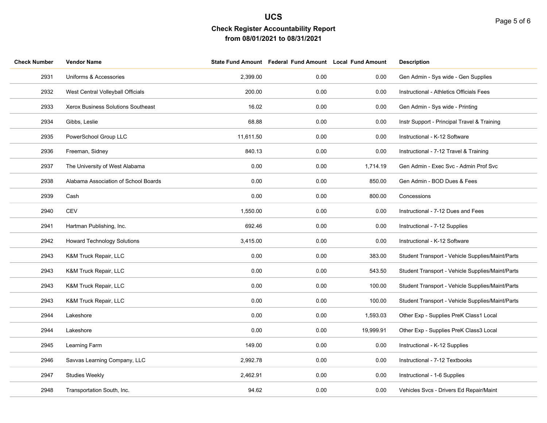| <b>Check Number</b> | <b>Vendor Name</b>                   |           | State Fund Amount Federal Fund Amount Local Fund Amount |           | <b>Description</b>                               |
|---------------------|--------------------------------------|-----------|---------------------------------------------------------|-----------|--------------------------------------------------|
| 2931                | Uniforms & Accessories               | 2,399.00  | 0.00                                                    | 0.00      | Gen Admin - Sys wide - Gen Supplies              |
| 2932                | West Central Volleyball Officials    | 200.00    | 0.00                                                    | 0.00      | Instructional - Athletics Officials Fees         |
| 2933                | Xerox Business Solutions Southeast   | 16.02     | 0.00                                                    | 0.00      | Gen Admin - Sys wide - Printing                  |
| 2934                | Gibbs, Leslie                        | 68.88     | 0.00                                                    | 0.00      | Instr Support - Principal Travel & Training      |
| 2935                | PowerSchool Group LLC                | 11,611.50 | 0.00                                                    | 0.00      | Instructional - K-12 Software                    |
| 2936                | Freeman, Sidney                      | 840.13    | 0.00                                                    | 0.00      | Instructional - 7-12 Travel & Training           |
| 2937                | The University of West Alabama       | 0.00      | 0.00                                                    | 1,714.19  | Gen Admin - Exec Svc - Admin Prof Svc            |
| 2938                | Alabama Association of School Boards | 0.00      | 0.00                                                    | 850.00    | Gen Admin - BOD Dues & Fees                      |
| 2939                | Cash                                 | 0.00      | 0.00                                                    | 800.00    | Concessions                                      |
| 2940                | <b>CEV</b>                           | 1,550.00  | 0.00                                                    | 0.00      | Instructional - 7-12 Dues and Fees               |
| 2941                | Hartman Publishing, Inc.             | 692.46    | 0.00                                                    | 0.00      | Instructional - 7-12 Supplies                    |
| 2942                | <b>Howard Technology Solutions</b>   | 3,415.00  | 0.00                                                    | 0.00      | Instructional - K-12 Software                    |
| 2943                | K&M Truck Repair, LLC                | 0.00      | 0.00                                                    | 383.00    | Student Transport - Vehicle Supplies/Maint/Parts |
| 2943                | K&M Truck Repair, LLC                | 0.00      | 0.00                                                    | 543.50    | Student Transport - Vehicle Supplies/Maint/Parts |
| 2943                | K&M Truck Repair, LLC                | 0.00      | 0.00                                                    | 100.00    | Student Transport - Vehicle Supplies/Maint/Parts |
| 2943                | K&M Truck Repair, LLC                | 0.00      | 0.00                                                    | 100.00    | Student Transport - Vehicle Supplies/Maint/Parts |
| 2944                | Lakeshore                            | 0.00      | 0.00                                                    | 1,593.03  | Other Exp - Supplies PreK Class1 Local           |
| 2944                | Lakeshore                            | 0.00      | 0.00                                                    | 19,999.91 | Other Exp - Supplies PreK Class3 Local           |
| 2945                | Learning Farm                        | 149.00    | 0.00                                                    | 0.00      | Instructional - K-12 Supplies                    |
| 2946                | Savvas Learning Company, LLC         | 2,992.78  | 0.00                                                    | 0.00      | Instructional - 7-12 Textbooks                   |
| 2947                | <b>Studies Weekly</b>                | 2,462.91  | 0.00                                                    | 0.00      | Instructional - 1-6 Supplies                     |
| 2948                | Transportation South, Inc.           | 94.62     | 0.00                                                    | 0.00      | Vehicles Svcs - Drivers Ed Repair/Maint          |